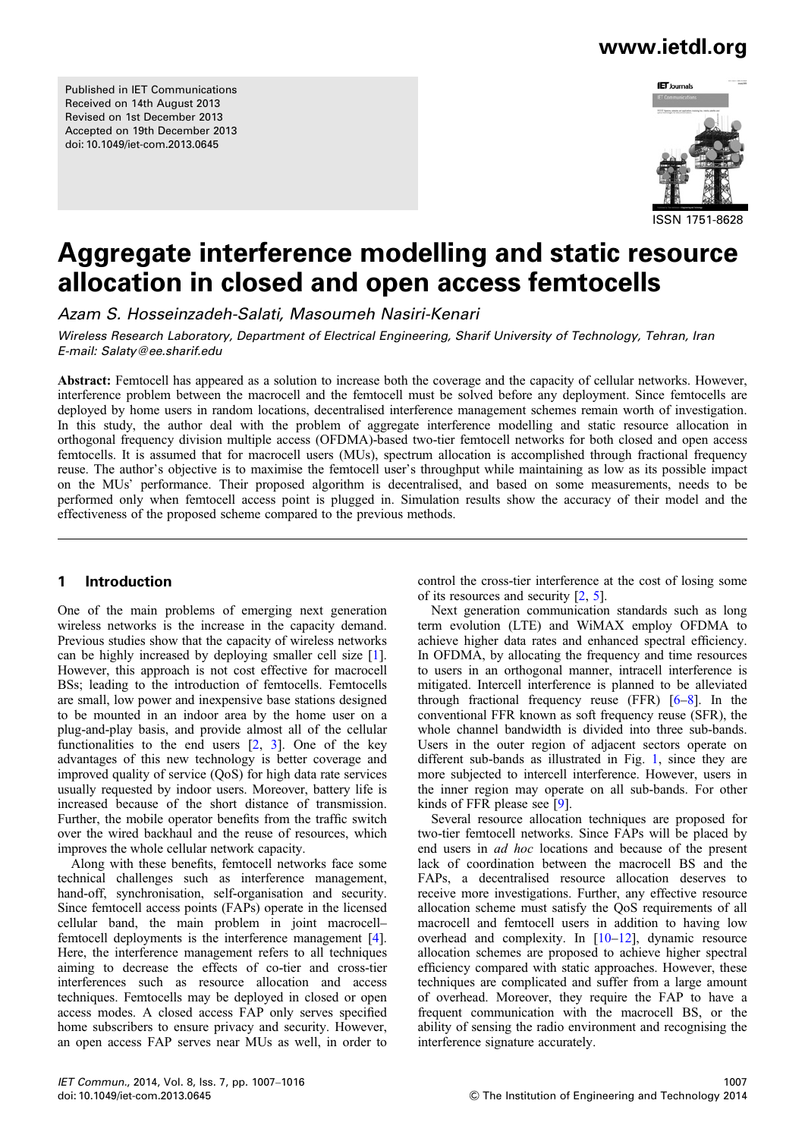#### Published in IET Communications Received on 14th August 2013 Revised on 1st December 2013 Accepted on 19th December 2013 doi: 10.1049/iet-com.2013.0645

# www.ietdl.org



# Aggregate interference modelling and static resource allocation in closed and open access femtocells

Azam S. Hosseinzadeh-Salati, Masoumeh Nasiri-Kenari

Wireless Research Laboratory, Department of Electrical Engineering, Sharif University of Technology, Tehran, Iran E-mail: Salaty@ee.sharif.edu

Abstract: Femtocell has appeared as a solution to increase both the coverage and the capacity of cellular networks. However, interference problem between the macrocell and the femtocell must be solved before any deployment. Since femtocells are deployed by home users in random locations, decentralised interference management schemes remain worth of investigation. In this study, the author deal with the problem of aggregate interference modelling and static resource allocation in orthogonal frequency division multiple access (OFDMA)-based two-tier femtocell networks for both closed and open access femtocells. It is assumed that for macrocell users (MUs), spectrum allocation is accomplished through fractional frequency reuse. The author's objective is to maximise the femtocell user's throughput while maintaining as low as its possible impact on the MUs' performance. Their proposed algorithm is decentralised, and based on some measurements, needs to be performed only when femtocell access point is plugged in. Simulation results show the accuracy of their model and the effectiveness of the proposed scheme compared to the previous methods.

# 1 Introduction

One of the main problems of emerging next generation wireless networks is the increase in the capacity demand. Previous studies show that the capacity of wireless networks can be highly increased by deploying smaller cell size [1]. However, this approach is not cost effective for macrocell BSs; leading to the introduction of femtocells. Femtocells are small, low power and inexpensive base stations designed to be mounted in an indoor area by the home user on a plug-and-play basis, and provide almost all of the cellular functionalities to the end users [2, 3]. One of the key advantages of this new technology is better coverage and improved quality of service (QoS) for high data rate services usually requested by indoor users. Moreover, battery life is increased because of the short distance of transmission. Further, the mobile operator benefits from the traffic switch over the wired backhaul and the reuse of resources, which improves the whole cellular network capacity.

Along with these benefits, femtocell networks face some technical challenges such as interference management, hand-off, synchronisation, self-organisation and security. Since femtocell access points (FAPs) operate in the licensed cellular band, the main problem in joint macrocell– femtocell deployments is the interference management [4]. Here, the interference management refers to all techniques aiming to decrease the effects of co-tier and cross-tier interferences such as resource allocation and access techniques. Femtocells may be deployed in closed or open access modes. A closed access FAP only serves specified home subscribers to ensure privacy and security. However, an open access FAP serves near MUs as well, in order to control the cross-tier interference at the cost of losing some of its resources and security [2, 5].

Next generation communication standards such as long term evolution (LTE) and WiMAX employ OFDMA to achieve higher data rates and enhanced spectral efficiency. In OFDMA, by allocating the frequency and time resources to users in an orthogonal manner, intracell interference is mitigated. Intercell interference is planned to be alleviated through fractional frequency reuse (FFR)  $[6-8]$ . In the conventional FFR known as soft frequency reuse (SFR), the whole channel bandwidth is divided into three sub-bands. Users in the outer region of adjacent sectors operate on different sub-bands as illustrated in Fig. 1, since they are more subjected to intercell interference. However, users in the inner region may operate on all sub-bands. For other kinds of FFR please see [9].

Several resource allocation techniques are proposed for two-tier femtocell networks. Since FAPs will be placed by end users in ad hoc locations and because of the present lack of coordination between the macrocell BS and the FAPs, a decentralised resource allocation deserves to receive more investigations. Further, any effective resource allocation scheme must satisfy the QoS requirements of all macrocell and femtocell users in addition to having low overhead and complexity. In [10–12], dynamic resource allocation schemes are proposed to achieve higher spectral efficiency compared with static approaches. However, these techniques are complicated and suffer from a large amount of overhead. Moreover, they require the FAP to have a frequent communication with the macrocell BS, or the ability of sensing the radio environment and recognising the interference signature accurately.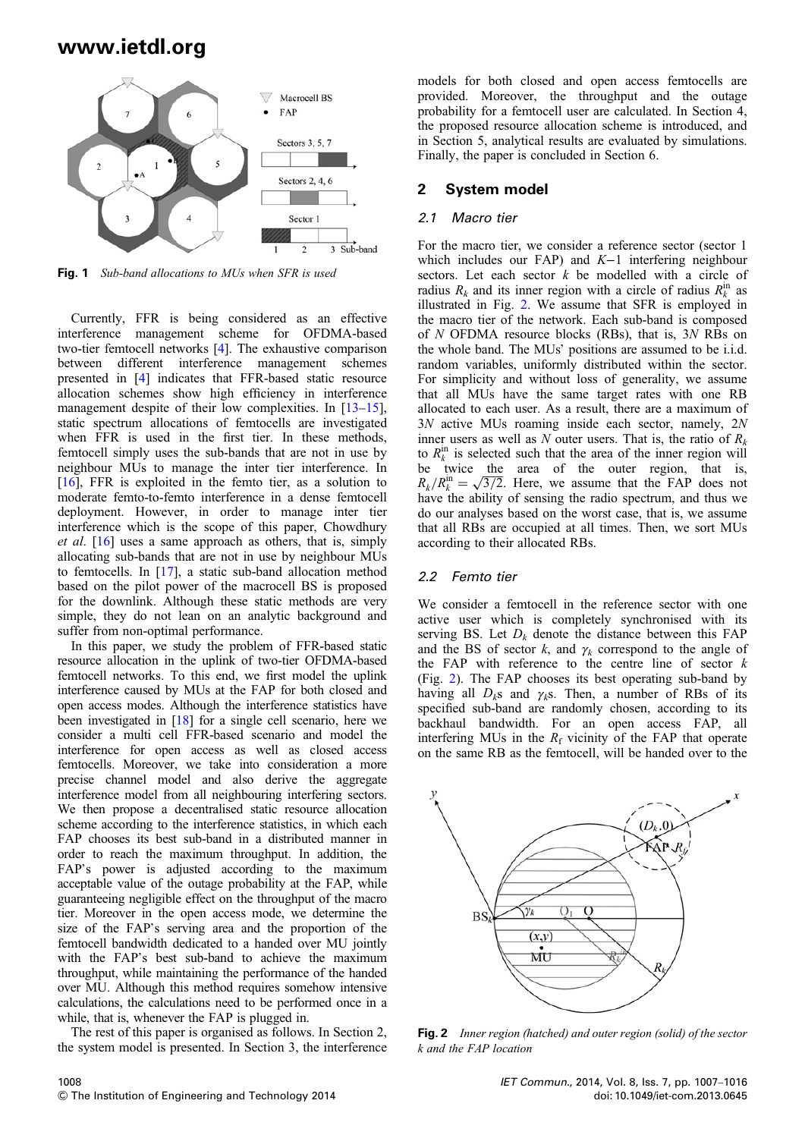

Fig. 1 Sub-band allocations to MUs when SFR is used

Currently, FFR is being considered as an effective interference management scheme for OFDMA-based two-tier femtocell networks [4]. The exhaustive comparison between different interference management schemes presented in [4] indicates that FFR-based static resource allocation schemes show high efficiency in interference management despite of their low complexities. In [13-15], static spectrum allocations of femtocells are investigated when FFR is used in the first tier. In these methods, femtocell simply uses the sub-bands that are not in use by neighbour MUs to manage the inter tier interference. In [16], FFR is exploited in the femto tier, as a solution to moderate femto-to-femto interference in a dense femtocell deployment. However, in order to manage inter tier interference which is the scope of this paper, Chowdhury et al. [16] uses a same approach as others, that is, simply allocating sub-bands that are not in use by neighbour MUs to femtocells. In [17], a static sub-band allocation method based on the pilot power of the macrocell BS is proposed for the downlink. Although these static methods are very simple, they do not lean on an analytic background and suffer from non-optimal performance.

In this paper, we study the problem of FFR-based static resource allocation in the uplink of two-tier OFDMA-based femtocell networks. To this end, we first model the uplink interference caused by MUs at the FAP for both closed and open access modes. Although the interference statistics have been investigated in [18] for a single cell scenario, here we consider a multi cell FFR-based scenario and model the interference for open access as well as closed access femtocells. Moreover, we take into consideration a more precise channel model and also derive the aggregate interference model from all neighbouring interfering sectors. We then propose a decentralised static resource allocation scheme according to the interference statistics, in which each FAP chooses its best sub-band in a distributed manner in order to reach the maximum throughput. In addition, the FAP's power is adjusted according to the maximum acceptable value of the outage probability at the FAP, while guaranteeing negligible effect on the throughput of the macro tier. Moreover in the open access mode, we determine the size of the FAP's serving area and the proportion of the femtocell bandwidth dedicated to a handed over MU jointly with the FAP's best sub-band to achieve the maximum throughput, while maintaining the performance of the handed over MU. Although this method requires somehow intensive calculations, the calculations need to be performed once in a while, that is, whenever the FAP is plugged in.

The rest of this paper is organised as follows. In Section 2, the system model is presented. In Section 3, the interference models for both closed and open access femtocells are provided. Moreover, the throughput and the outage probability for a femtocell user are calculated. In Section 4, the proposed resource allocation scheme is introduced, and in Section 5, analytical results are evaluated by simulations. Finally, the paper is concluded in Section 6.

### 2 System model

#### 2.1 Macro tier

For the macro tier, we consider a reference sector (sector 1 which includes our FAP) and  $K-1$  interfering neighbour sectors. Let each sector  $k$  be modelled with a circle of radius  $R_k$  and its inner region with a circle of radius  $R_k^{\text{in}}$  as illustrated in Fig. 2. We assume that SFR is employed in the macro tier of the network. Each sub-band is composed of N OFDMA resource blocks (RBs), that is, 3N RBs on the whole band. The MUs' positions are assumed to be i.i.d. random variables, uniformly distributed within the sector. For simplicity and without loss of generality, we assume that all MUs have the same target rates with one RB allocated to each user. As a result, there are a maximum of 3N active MUs roaming inside each sector, namely, 2N inner users as well as N outer users. That is, the ratio of  $R_k$ to  $R_k^{\text{in}}$  is selected such that the area of the inner region will be twice the area of the outer region, that is,  $R_k/R_k^{\text{in}} = \sqrt{3/2}$ . Here, we assume that the FAP does not have the ability of sensing the radio spectrum, and thus we do our analyses based on the worst case, that is, we assume that all RBs are occupied at all times. Then, we sort MUs according to their allocated RBs.

#### 2.2 Femto tier

We consider a femtocell in the reference sector with one active user which is completely synchronised with its serving BS. Let  $D_k$  denote the distance between this FAP and the BS of sector k, and  $\gamma_k$  correspond to the angle of the FAP with reference to the centre line of sector  $k$ (Fig. 2). The FAP chooses its best operating sub-band by having all  $D_k$ s and  $\gamma_k$ s. Then, a number of RBs of its specified sub-band are randomly chosen, according to its backhaul bandwidth. For an open access FAP, all interfering MUs in the  $R_f$  vicinity of the FAP that operate on the same RB as the femtocell, will be handed over to the



Fig. 2 Inner region (hatched) and outer region (solid) of the sector k and the FAP location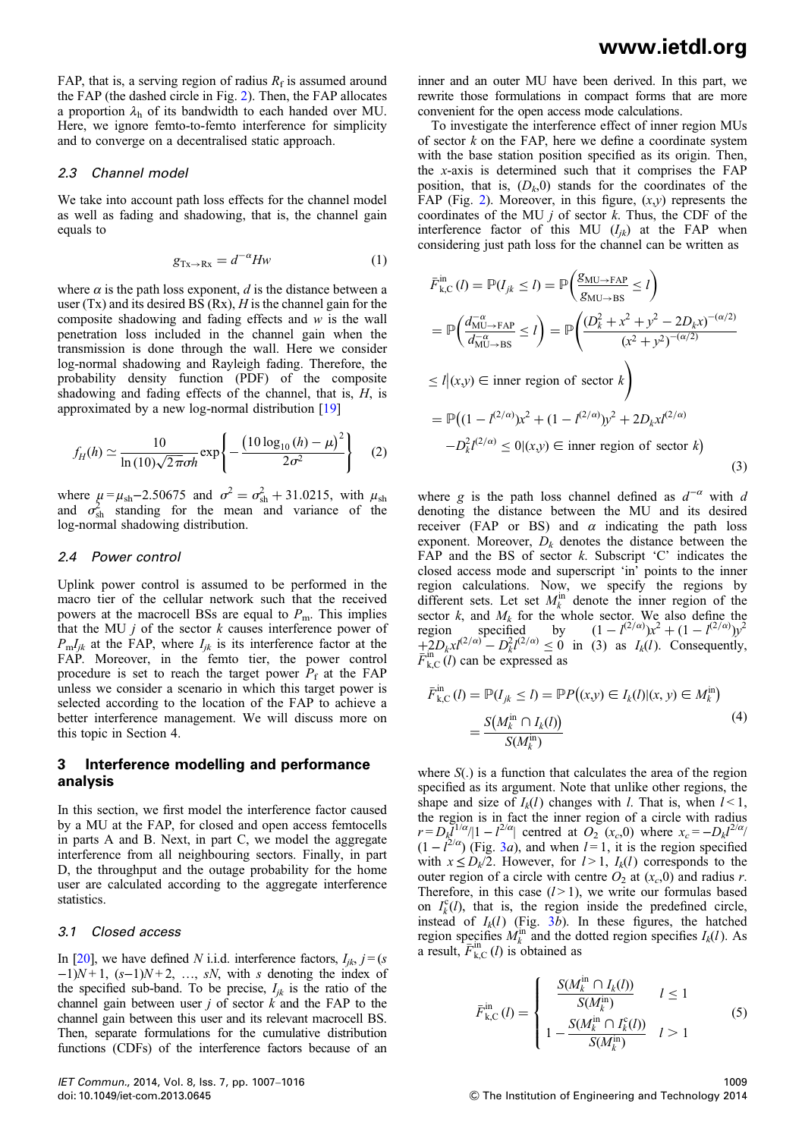FAP, that is, a serving region of radius  $R_f$  is assumed around the FAP (the dashed circle in Fig. 2). Then, the FAP allocates a proportion  $\lambda_h$  of its bandwidth to each handed over MU. Here, we ignore femto-to-femto interference for simplicity and to converge on a decentralised static approach.

#### 2.3 Channel model

We take into account path loss effects for the channel model as well as fading and shadowing, that is, the channel gain equals to

$$
g_{Tx \to Rx} = d^{-\alpha} Hw \tag{1}
$$

where  $\alpha$  is the path loss exponent,  $d$  is the distance between a user (Tx) and its desired BS (Rx),  $H$  is the channel gain for the composite shadowing and fading effects and  $w$  is the wall penetration loss included in the channel gain when the transmission is done through the wall. Here we consider log-normal shadowing and Rayleigh fading. Therefore, the probability density function (PDF) of the composite shadowing and fading effects of the channel, that is, H, is approximated by a new log-normal distribution [19]

$$
f_H(h) \simeq \frac{10}{\ln(10)\sqrt{2\pi}\sigma h} \exp\left\{-\frac{\left(10\log_{10}(h) - \mu\right)^2}{2\sigma^2}\right\} \tag{2}
$$

where  $\mu = \mu_{sh} - 2.50675$  and  $\sigma^2 = \sigma_{sh}^2 + 31.0215$ , with  $\mu_{sh}$ and  $\sigma_{\rm sh}^2$  standing for the mean and variance of the log-normal shadowing distribution.

#### 2.4 Power control

Uplink power control is assumed to be performed in the macro tier of the cellular network such that the received powers at the macrocell BSs are equal to  $P<sub>m</sub>$ . This implies that the MU  $j$  of the sector  $k$  causes interference power of  $P_{\text{m}}I_{jk}$  at the FAP, where  $I_{jk}$  is its interference factor at the FAP. Moreover, in the femto tier, the power control procedure is set to reach the target power  $P_f$  at the FAP unless we consider a scenario in which this target power is selected according to the location of the FAP to achieve a better interference management. We will discuss more on this topic in Section 4.

### 3 Interference modelling and performance analysis

In this section, we first model the interference factor caused by a MU at the FAP, for closed and open access femtocells in parts A and B. Next, in part C, we model the aggregate interference from all neighbouring sectors. Finally, in part D, the throughput and the outage probability for the home user are calculated according to the aggregate interference statistics.

#### 3.1 Closed access

In [20], we have defined N i.i.d. interference factors,  $I_{ik}$ ,  $j = (s$  $-(1)N+1$ ,  $(s-1)N+2$ , …, sN, with s denoting the index of the specified sub-band. To be precise,  $I_{ik}$  is the ratio of the channel gain between user  $j$  of sector  $k$  and the FAP to the channel gain between this user and its relevant macrocell BS. Then, separate formulations for the cumulative distribution functions (CDFs) of the interference factors because of an

# www.ietdl.org

inner and an outer MU have been derived. In this part, we rewrite those formulations in compact forms that are more convenient for the open access mode calculations.

To investigate the interference effect of inner region MUs of sector  $k$  on the FAP, here we define a coordinate system with the base station position specified as its origin. Then, the  $x$ -axis is determined such that it comprises the FAP position, that is,  $(D_k,0)$  stands for the coordinates of the FAP (Fig. 2). Moreover, in this figure,  $(x,y)$  represents the coordinates of the MU  $j$  of sector  $k$ . Thus, the CDF of the interference factor of this MU  $(I_{ik})$  at the FAP when considering just path loss for the channel can be written as

$$
\bar{F}_{k,C}^{\text{in}}(l) = \mathbb{P}(I_{jk} \le l) = \mathbb{P}\left(\frac{g_{\text{MU}\rightarrow\text{FAP}}}{g_{\text{MU}\rightarrow\text{BS}}} \le l\right)
$$
\n
$$
= \mathbb{P}\left(\frac{d_{\text{MU}\rightarrow\text{FAP}}^{\alpha}}{d_{\text{MU}\rightarrow\text{BS}}^{\alpha}} \le l\right) = \mathbb{P}\left(\frac{(D_k^2 + x^2 + y^2 - 2D_k x)^{-(\alpha/2)}}{(x^2 + y^2)^{-(\alpha/2)}}\right)
$$
\n
$$
\le l|(x,y) \in \text{inner region of sector } k\right)
$$
\n
$$
= \mathbb{P}\left((1 - l^{(2/\alpha)})x^2 + (1 - l^{(2/\alpha)})y^2 + 2D_k x l^{(2/\alpha)}\right)
$$
\n
$$
-D_k^2 l^{(2/\alpha)} \le 0|(x,y) \in \text{inner region of sector } k\right)
$$
\n(3)

where g is the path loss channel defined as  $d^{-\alpha}$  with d denoting the distance between the MU and its desired receiver (FAP or BS) and  $\alpha$  indicating the path loss exponent. Moreover,  $D_k$  denotes the distance between the FAP and the BS of sector  $k$ . Subscript 'C' indicates the closed access mode and superscript 'in' points to the inner region calculations. Now, we specify the regions by different sets. Let set  $M_k^{\text{in}}$  denote the inner region of the sector k, and  $M_k$  for the whole sector. We also define the region specified by  $(1 - l^{(2/\alpha)})x^2 + (1 - l^{(2/\alpha)})y^2$  $+\frac{2}{5}D_k x l^{(2/\alpha)} - D_k^2 l^{(2/\alpha)} \leq 0$  in (3) as  $I_k(l)$ . Consequently,  $\overline{F}_{k,C}^{\text{in}}(\overline{l})$  can be expressed as

$$
\bar{F}_{k,C}^{\text{in}}(l) = \mathbb{P}(I_{jk} \le l) = \mathbb{P}P((x,y) \in I_k(l)| (x, y) \in M_k^{\text{in}})
$$

$$
= \frac{S(M_k^{\text{in}} \cap I_k(l))}{S(M_k^{\text{in}})}
$$
(4)

where  $S(.)$  is a function that calculates the area of the region specified as its argument. Note that unlike other regions, the shape and size of  $I_k(l)$  changes with l. That is, when  $l < 1$ , the region is in fact the inner region of a circle with radius  $r = D_k \tilde{l}^{1/\alpha}/|1 - l^{2/\alpha}|$  centred at  $O_2(\tilde{x}_c, 0)$  where  $\tilde{x}_c = -D_k l^{2/\alpha}/|1 - l^{2/\alpha}|$  $(1 - \ell^{2/\alpha})$  (Fig. 3*a*), and when  $l = 1$ , it is the region specified with  $x \le D_k/2$ . However, for  $l > 1$ ,  $I_k(l)$  corresponds to the outer region of a circle with centre  $O_2$  at  $(x_c, 0)$  and radius r. Therefore, in this case  $(l > 1)$ , we write our formulas based on  $I_k^c(l)$ , that is, the region inside the predefined circle, instead of  $I_k(l)$  (Fig. 3b). In these figures, the hatched region specifies  $M_k^{\text{in}}$  and the dotted region specifies  $I_k(l)$ . As a result,  $\overline{F}_{k,C}^{\text{in}}(l)$  is obtained as

$$
\bar{F}_{k,C}^{\text{in}}(l) = \begin{cases}\n\frac{S(M_k^{\text{in}} \cap I_k(l))}{S(M_k^{\text{in}})} & l \le 1 \\
1 - \frac{S(M_k^{\text{in}} \cap I_k^{\text{c}}(l))}{S(M_k^{\text{in}})} & l > 1\n\end{cases} \tag{5}
$$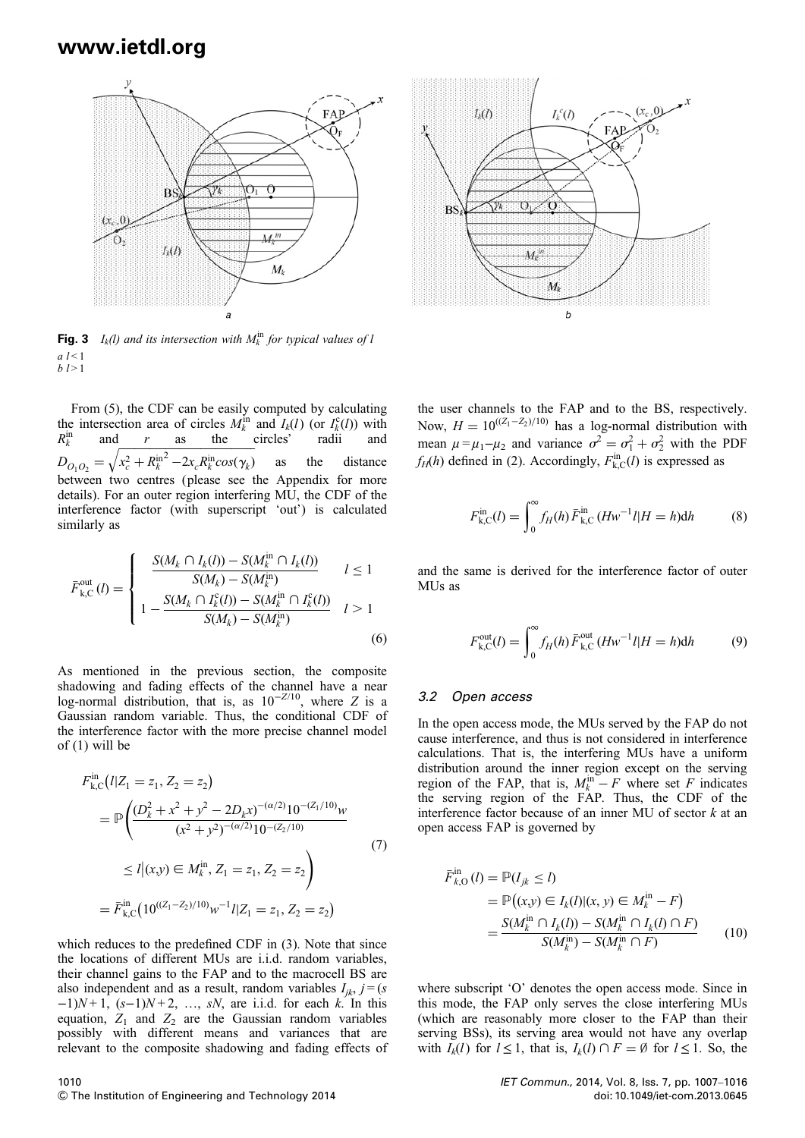

**Fig. 3**  $I_k(l)$  and its intersection with  $M_k^{\text{in}}$  for typical values of l  $a$   $l < 1$  $b$   $l > 1$ 

From (5), the CDF can be easily computed by calculating the intersection area of circles  $M_k^{\text{in}}$  and  $I_k(l)$  (or  $I_k^{\text{c}}(l)$ ) with  $R_{k}^{\rm in}$  $\frac{m}{k}$  and r as the circles' radii and  $D_{O_1O_2} = \sqrt{x_c^2 + {R_k^{\text{in}}}^2 - 2x_cR_k^{\text{in}}cos(\gamma_k)}$ as the distance between two centres (please see the Appendix for more details). For an outer region interfering MU, the CDF of the interference factor (with superscript 'out') is calculated similarly as

$$
\bar{F}_{k,C}^{\text{out}}(l) = \begin{cases}\n\frac{S(M_k \cap I_k(l)) - S(M_k^{\text{in}} \cap I_k(l))}{S(M_k) - S(M_k^{\text{in}})} & l \le 1 \\
1 - \frac{S(M_k \cap I_k^{\text{in}}(l)) - S(M_k^{\text{in}} \cap I_k^{\text{in}}(l))}{S(M_k) - S(M_k^{\text{in}})} & l > 1\n\end{cases}
$$
\n(6)

As mentioned in the previous section, the composite shadowing and fading effects of the channel have a near log-normal distribution, that is, as  $10^{-Z/10}$ , where Z is a Gaussian random variable. Thus, the conditional CDF of the interference factor with the more precise channel model of (1) will be

$$
F_{k,C}^{\text{in}}(l|Z_1 = z_1, Z_2 = z_2)
$$
  
= 
$$
\mathbb{P}\left(\frac{(D_k^2 + x^2 + y^2 - 2D_kx)^{-(\alpha/2)}10^{-(Z_1/10)}w}{(x^2 + y^2)^{-(\alpha/2)}10^{-(Z_2/10)}}\right)
$$
  

$$
\leq l|(x,y) \in M_k^{\text{in}}, Z_1 = z_1, Z_2 = z_2\right)
$$
  
= 
$$
\bar{F}_{k,C}^{\text{in}}(10^{((Z_1 - Z_2)/10)}w^{-1}l|Z_1 = z_1, Z_2 = z_2)
$$
 (7)

which reduces to the predefined CDF in (3). Note that since the locations of different MUs are i.i.d. random variables, their channel gains to the FAP and to the macrocell BS are also independent and as a result, random variables  $I_{ik}$ ,  $j = (s$  $(-1)N + 1$ ,  $(s-1)N + 2$ , ..., sN, are i.i.d. for each k. In this equation,  $Z_1$  and  $Z_2$  are the Gaussian random variables possibly with different means and variances that are relevant to the composite shadowing and fading effects of



the user channels to the FAP and to the BS, respectively. Now,  $H = 10^{((Z_1 - Z_2)/10)}$  has a log-normal distribution with mean  $\mu = \mu_1 - \mu_2$  and variance  $\sigma^2 = \sigma_1^2 + \sigma_2^2$  with the PDF  $f_H(h)$  defined in (2). Accordingly,  $F_{k,C}^{\text{in}}(l)$  is expressed as

$$
F_{k,C}^{\text{in}}(l) = \int_0^\infty f_H(h) \,\bar{F}_{k,C}^{\text{in}} \,(Hw^{-1}l|H=h) \mathrm{d}h \tag{8}
$$

and the same is derived for the interference factor of outer MUs as

$$
F_{k,C}^{\text{out}}(l) = \int_0^\infty f_H(h) \,\bar{F}_{k,C}^{\text{out}}(Hw^{-1}l|H=h)dh\tag{9}
$$

#### 3.2 Open access

In the open access mode, the MUs served by the FAP do not cause interference, and thus is not considered in interference calculations. That is, the interfering MUs have a uniform distribution around the inner region except on the serving region of the FAP, that is,  $M_k^{\text{in}} - F$  where set F indicates the serving region of the FAP. Thus, the CDF of the interference factor because of an inner MU of sector  $k$  at an open access FAP is governed by

$$
\begin{split} \bar{F}_{k,0}^{\text{in}}\left(l\right) &= \mathbb{P}(I_{jk} \le l) \\ &= \mathbb{P}\left((x,y) \in I_k(l)| (x,y) \in M_k^{\text{in}} - F\right) \\ &= \frac{S(M_k^{\text{in}} \cap I_k(l)) - S(M_k^{\text{in}} \cap I_k(l) \cap F)}{S(M_k^{\text{in}}) - S(M_k^{\text{in}} \cap F)} \end{split} \tag{10}
$$

where subscript 'O' denotes the open access mode. Since in this mode, the FAP only serves the close interfering MUs (which are reasonably more closer to the FAP than their serving BSs), its serving area would not have any overlap with  $I_k(l)$  for  $l \leq 1$ , that is,  $I_k(l) \cap F = \emptyset$  for  $l \leq 1$ . So, the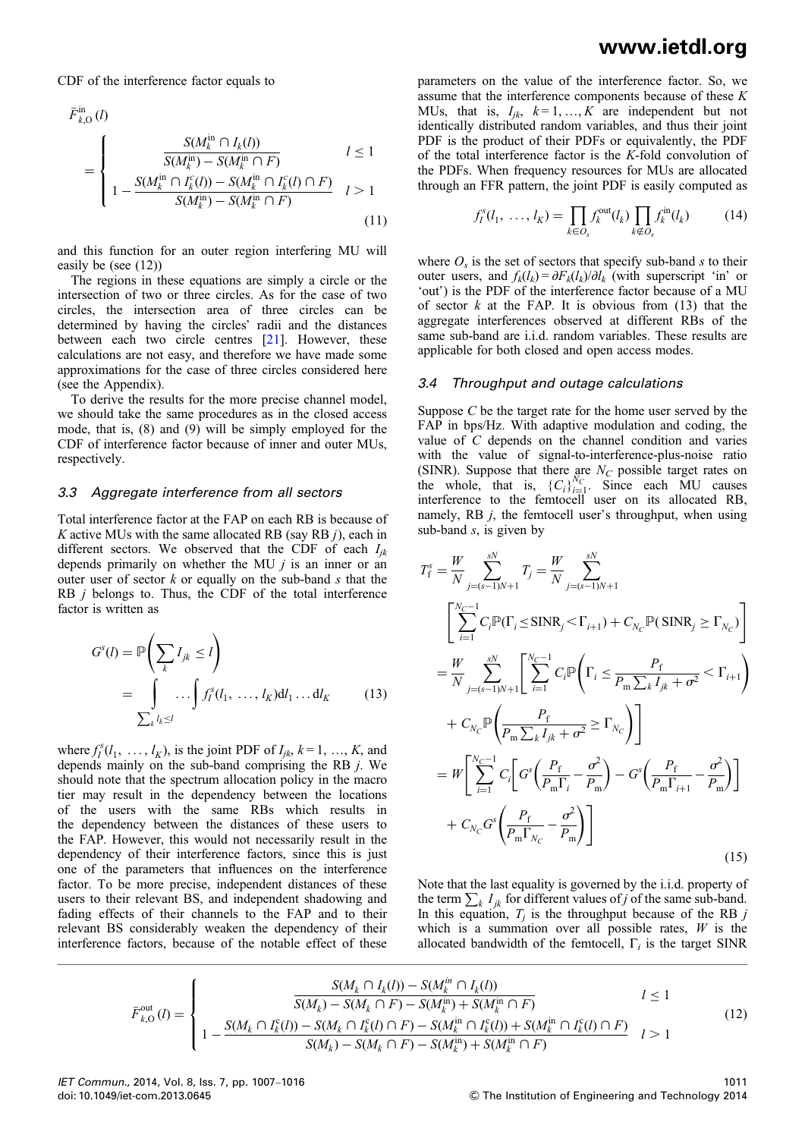CDF of the interference factor equals to

$$
\overline{F}_{k,O}^{\text{in}}(l)
$$
\n
$$
= \begin{cases}\n\frac{S(M_k^{\text{in}} \cap I_k(l))}{S(M_k^{\text{in}}) - S(M_k^{\text{in}} \cap F)} & l \le 1 \\
1 - \frac{S(M_k^{\text{in}} \cap I_k^c(l)) - S(M_k^{\text{in}} \cap I_k^c(l) \cap F)}{S(M^{\text{in}}) - S(M^{\text{in}} \cap F)} & l > 1\n\end{cases}
$$

$$
\left\{1 - \frac{S(M_k + 1/k(t)) - S(M_k + 1/k(t)) + 1}{S(M_k^{\text{in}}) - S(M_k^{\text{in}} \cap F)} \right\} \quad l > 1
$$
\n(11)

and this function for an outer region interfering MU will easily be (see (12))

The regions in these equations are simply a circle or the intersection of two or three circles. As for the case of two circles, the intersection area of three circles can be determined by having the circles' radii and the distances between each two circle centres [21]. However, these calculations are not easy, and therefore we have made some approximations for the case of three circles considered here (see the Appendix).

To derive the results for the more precise channel model, we should take the same procedures as in the closed access mode, that is, (8) and (9) will be simply employed for the CDF of interference factor because of inner and outer MUs, respectively.

#### 3.3 Aggregate interference from all sectors

Total interference factor at the FAP on each RB is because of K active MUs with the same allocated RB (say RB  $i$ ), each in different sectors. We observed that the CDF of each  $I_{ik}$ depends primarily on whether the MU  $j$  is an inner or an outer user of sector  $k$  or equally on the sub-band  $s$  that the RB *j* belongs to. Thus, the CDF of the total interference factor is written as

$$
Gs(l) = \mathbb{P}\left(\sum_{k} I_{jk} \le l\right)
$$
  
= 
$$
\int_{\sum_{k} l_{k} \le l} \cdots \int f_{I}^{s}(l_{1}, \ldots, l_{K}) dl_{1} \ldots dl_{K}
$$
 (13)

where  $f_I^s(l_1, \ldots, l_K)$ , is the joint PDF of  $I_{jk}$ ,  $k = 1, \ldots, K$ , and depends mainly on the sub-band comprising the RB j. We should note that the spectrum allocation policy in the macro tier may result in the dependency between the locations of the users with the same RBs which results in the dependency between the distances of these users to the FAP. However, this would not necessarily result in the dependency of their interference factors, since this is just one of the parameters that influences on the interference factor. To be more precise, independent distances of these users to their relevant BS, and independent shadowing and fading effects of their channels to the FAP and to their relevant BS considerably weaken the dependency of their interference factors, because of the notable effect of these

parameters on the value of the interference factor. So, we assume that the interference components because of these  $K$ MUs, that is,  $I_{ik}$ ,  $k = 1, ..., K$  are independent but not identically distributed random variables, and thus their joint PDF is the product of their PDFs or equivalently, the PDF of the total interference factor is the K-fold convolution of the PDFs. When frequency resources for MUs are allocated through an FFR pattern, the joint PDF is easily computed as

$$
f_I^s(l_1, ..., l_K) = \prod_{k \in O_s} f_k^{\text{out}}(l_k) \prod_{k \notin O_s} f_k^{\text{in}}(l_k)
$$
 (14)

where  $O_s$  is the set of sectors that specify sub-band s to their outer users, and  $f_k(l_k) = \frac{\partial F_k(l_k)}{\partial l_k}$  (with superscript 'in' or 'out') is the PDF of the interference factor because of a MU of sector  $k$  at the FAP. It is obvious from (13) that the aggregate interferences observed at different RBs of the same sub-band are i.i.d. random variables. These results are applicable for both closed and open access modes.

#### 3.4 Throughput and outage calculations

Suppose  $C$  be the target rate for the home user served by the FAP in bps/Hz. With adaptive modulation and coding, the value of C depends on the channel condition and varies with the value of signal-to-interference-plus-noise ratio (SINR). Suppose that there are  $N_C$  possible target rates on the whole, that is,  ${C_i}_{i=1}^{N_C}$ . Since each MU causes interference to the femtocell user on its allocated RB, namely, RB j, the femtocell user's throughput, when using sub-band  $s$ , is given by

$$
T_{\rm f}^{s} = \frac{W}{N} \sum_{j=(s-1)N+1}^{sN} T_{j} = \frac{W}{N} \sum_{j=(s-1)N+1}^{sN}
$$
  
\n
$$
\left[ \sum_{i=1}^{N_{C}-1} C_{i} \mathbb{P}(\Gamma_{i} \leq \text{SINR}_{j} < \Gamma_{i+1}) + C_{N_{C}} \mathbb{P}(\text{SINR}_{j} \geq \Gamma_{N_{C}}) \right]
$$
  
\n
$$
= \frac{W}{N} \sum_{j=(s-1)N+1}^{sN} \left[ \sum_{i=1}^{N_{C}-1} C_{i} \mathbb{P} \left( \Gamma_{i} \leq \frac{P_{\rm f}}{P_{\rm m} \sum_{k} I_{jk} + \sigma^{2}} < \Gamma_{i+1} \right) \right]
$$
  
\n
$$
+ C_{N_{C}} \mathbb{P} \left( \frac{P_{\rm f}}{P_{\rm m} \sum_{k} I_{jk} + \sigma^{2}} \geq \Gamma_{N_{C}} \right) \right]
$$
  
\n
$$
= W \left[ \sum_{i=1}^{N_{C}-1} C_{i} \left[ G^{s} \left( \frac{P_{\rm f}}{P_{\rm m} \Gamma_{i}} - \frac{\sigma^{2}}{P_{\rm m}} \right) - G^{s} \left( \frac{P_{\rm f}}{P_{\rm m} \Gamma_{i+1}} - \frac{\sigma^{2}}{P_{\rm m}} \right) \right]
$$
  
\n
$$
+ C_{N_{C}} G^{s} \left( \frac{P_{\rm f}}{P_{\rm m} \Gamma_{N_{C}}} - \frac{\sigma^{2}}{P_{\rm m}} \right) \right]
$$
  
\n(15)

Note that the last equality is governed by the i.i.d. property of the term  $\sum_{k} I_{jk}$  for different values of j of the same sub-band. In this equation,  $T_i$  is the throughput because of the RB j which is a summation over all possible rates,  $W$  is the allocated bandwidth of the femtocell,  $\Gamma_i$  is the target SINR

$$
\bar{F}_{k,0}^{\text{out}}(l) = \begin{cases}\n\frac{S(M_k \cap I_k(l)) - S(M_k^{\text{in}} \cap I_k(l))}{S(M_k) - S(M_k \cap F) - S(M_k^{\text{in}}) + S(M_k^{\text{in}} \cap F)} & l \le 1 \\
1 - \frac{S(M_k \cap I_k^{\text{c}}(l)) - S(M_k \cap I_k^{\text{c}}(l) \cap F) - S(M_k^{\text{in}} \cap I_k^{\text{c}}(l)) + S(M_k^{\text{in}} \cap I_k^{\text{c}}(l) \cap F)}{S(M_k) - S(M_k \cap F) - S(M_k^{\text{in}}) + S(M_k^{\text{in}} \cap F)} & l > 1\n\end{cases} (12)
$$

IET Commun., 2014, Vol. 8, Iss. 7, pp. 1007–1016 doi: 10.1049/iet-com.2013.0645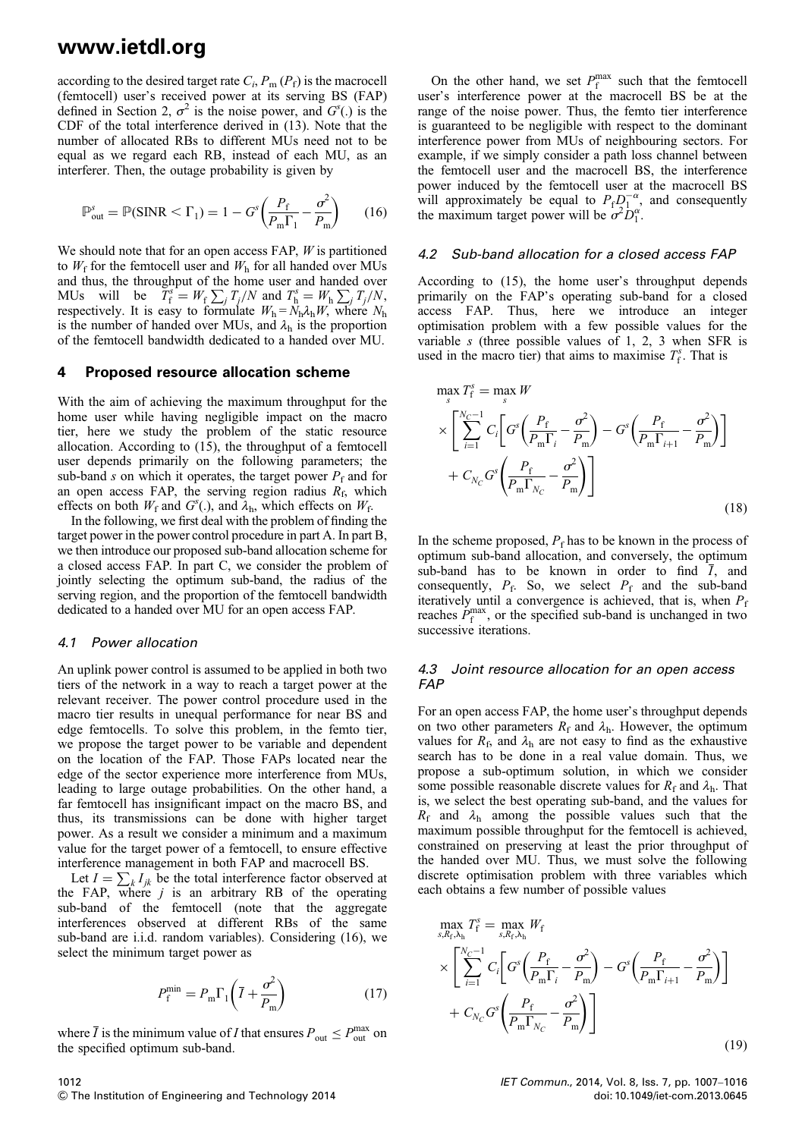according to the desired target rate  $C_i$ ,  $P_m$  ( $P_f$ ) is the macrocell (femtocell) user's received power at its serving BS (FAP) defined in Section 2,  $\sigma^2$  is the noise power, and  $G<sup>s</sup>(.)$  is the CDF of the total interference derived in (13). Note that the number of allocated RBs to different MUs need not to be equal as we regard each RB, instead of each MU, as an interferer. Then, the outage probability is given by

$$
\mathbb{P}_{\text{out}}^s = \mathbb{P}(\text{SINR} < \Gamma_1) = 1 - G^s \left( \frac{P_{\text{f}}}{P_{\text{m}} \Gamma_1} - \frac{\sigma^2}{P_{\text{m}}} \right) \tag{16}
$$

We should note that for an open access FAP,  $W$  is partitioned to  $W_f$  for the femtocell user and  $W_h$  for all handed over MUs and thus, the throughput of the home user and handed over MUs will be  $T_f^s = W_f \sum_j T_j / N$  and  $T_h^s = W_h \sum_j T_j / N$ , respectively. It is easy to formulate  $W_h = N_h \lambda_h W$ , where  $N_h$ is the number of handed over MUs, and  $\lambda_h$  is the proportion of the femtocell bandwidth dedicated to a handed over MU.

### 4 Proposed resource allocation scheme

With the aim of achieving the maximum throughput for the home user while having negligible impact on the macro tier, here we study the problem of the static resource allocation. According to (15), the throughput of a femtocell user depends primarily on the following parameters; the sub-band s on which it operates, the target power  $P_f$  and for an open access FAP, the serving region radius  $R_f$ , which effects on both  $W_f$  and  $G<sup>s</sup>(.)$ , and  $\lambda_h$ , which effects on  $W_f$ .

In the following, we first deal with the problem of finding the target power in the power control procedure in part A. In part B, we then introduce our proposed sub-band allocation scheme for a closed access FAP. In part C, we consider the problem of jointly selecting the optimum sub-band, the radius of the serving region, and the proportion of the femtocell bandwidth dedicated to a handed over MU for an open access FAP.

#### 4.1 Power allocation

An uplink power control is assumed to be applied in both two tiers of the network in a way to reach a target power at the relevant receiver. The power control procedure used in the macro tier results in unequal performance for near BS and edge femtocells. To solve this problem, in the femto tier, we propose the target power to be variable and dependent on the location of the FAP. Those FAPs located near the edge of the sector experience more interference from MUs, leading to large outage probabilities. On the other hand, a far femtocell has insignificant impact on the macro BS, and thus, its transmissions can be done with higher target power. As a result we consider a minimum and a maximum value for the target power of a femtocell, to ensure effective interference management in both FAP and macrocell BS.

Let  $I = \sum_k I_{jk}$  be the total interference factor observed at the FAP, where  $j$  is an arbitrary RB of the operating sub-band of the femtocell (note that the aggregate interferences observed at different RBs of the same sub-band are i.i.d. random variables). Considering (16), we select the minimum target power as

$$
P_{\rm f}^{\rm min} = P_{\rm m} \Gamma_1 \left( \overline{I} + \frac{\sigma^2}{P_{\rm m}} \right) \tag{17}
$$

where  $\overline{I}$  is the minimum value of *I* that ensures  $P_{\text{out}} \leq P_{\text{out}}^{\text{max}}$  on the specified optimum sub-band.

1012 & The Institution of Engineering and Technology 2014

On the other hand, we set  $P_f^{\text{max}}$  such that the femtocell user's interference power at the macrocell BS be at the range of the noise power. Thus, the femto tier interference is guaranteed to be negligible with respect to the dominant interference power from MUs of neighbouring sectors. For example, if we simply consider a path loss channel between the femtocell user and the macrocell BS, the interference power induced by the femtocell user at the macrocell BS will approximately be equal to  $P_{f}D_{1}^{-\alpha}$ , and consequently the maximum target power will be  $\sigma^2 D_1^{\alpha}$ .

#### 4.2 Sub-band allocation for a closed access FAP

According to (15), the home user's throughput depends primarily on the FAP's operating sub-band for a closed access FAP. Thus, here we introduce an integer optimisation problem with a few possible values for the variable  $s$  (three possible values of 1, 2, 3 when SFR is used in the macro tier) that aims to maximise  $T_f^s$ . That is

$$
\max_{s} T_{\rm f}^{s} = \max_{s} W
$$
\n
$$
\times \left[ \sum_{i=1}^{N_{\rm C}-1} C_{i} \left[ G^{s} \left( \frac{P_{\rm f}}{P_{\rm m} \Gamma_{i}} - \frac{\sigma^{2}}{P_{\rm m}} \right) - G^{s} \left( \frac{P_{\rm f}}{P_{\rm m} \Gamma_{i+1}} - \frac{\sigma^{2}}{P_{\rm m}} \right) \right] + C_{N_{\rm C}} G^{s} \left( \frac{P_{\rm f}}{P_{\rm m} \Gamma_{N_{\rm C}}} - \frac{\sigma^{2}}{P_{\rm m}} \right) \right]
$$
\n(18)

In the scheme proposed,  $P_f$  has to be known in the process of optimum sub-band allocation, and conversely, the optimum sub-band has to be known in order to find  $\overline{I}$ , and consequently,  $P_f$ . So, we select  $P_f$  and the sub-band iteratively until a convergence is achieved, that is, when  $P_f$ reaches  $\dot{P}_{\rm f}^{\rm max}$ , or the specified sub-band is unchanged in two successive iterations.

#### 4.3 Joint resource allocation for an open access FAP

For an open access FAP, the home user's throughput depends on two other parameters  $R_f$  and  $\lambda_h$ . However, the optimum values for  $R_f$ , and  $\lambda_h$  are not easy to find as the exhaustive search has to be done in a real value domain. Thus, we propose a sub-optimum solution, in which we consider some possible reasonable discrete values for  $R_f$  and  $\lambda_h$ . That is, we select the best operating sub-band, and the values for  $R_f$  and  $\lambda_h$  among the possible values such that the maximum possible throughput for the femtocell is achieved, constrained on preserving at least the prior throughput of the handed over MU. Thus, we must solve the following discrete optimisation problem with three variables which each obtains a few number of possible values

$$
\max_{s,R_f,\lambda_h} T_f^s = \max_{s,R_f,\lambda_h} W_f
$$
\n
$$
\times \left[ \sum_{i=1}^{N_C-1} C_i \left[ G^s \left( \frac{P_f}{P_m \Gamma_i} - \frac{\sigma^2}{P_m} \right) - G^s \left( \frac{P_f}{P_m \Gamma_{i+1}} - \frac{\sigma^2}{P_m} \right) \right] + C_{N_C} G^s \left( \frac{P_f}{P_m \Gamma_{N_C}} - \frac{\sigma^2}{P_m} \right) \right]
$$
\n(19)

IET Commun., 2014, Vol. 8, Iss. 7, pp. 1007–1016 doi: 10.1049/iet-com.2013.0645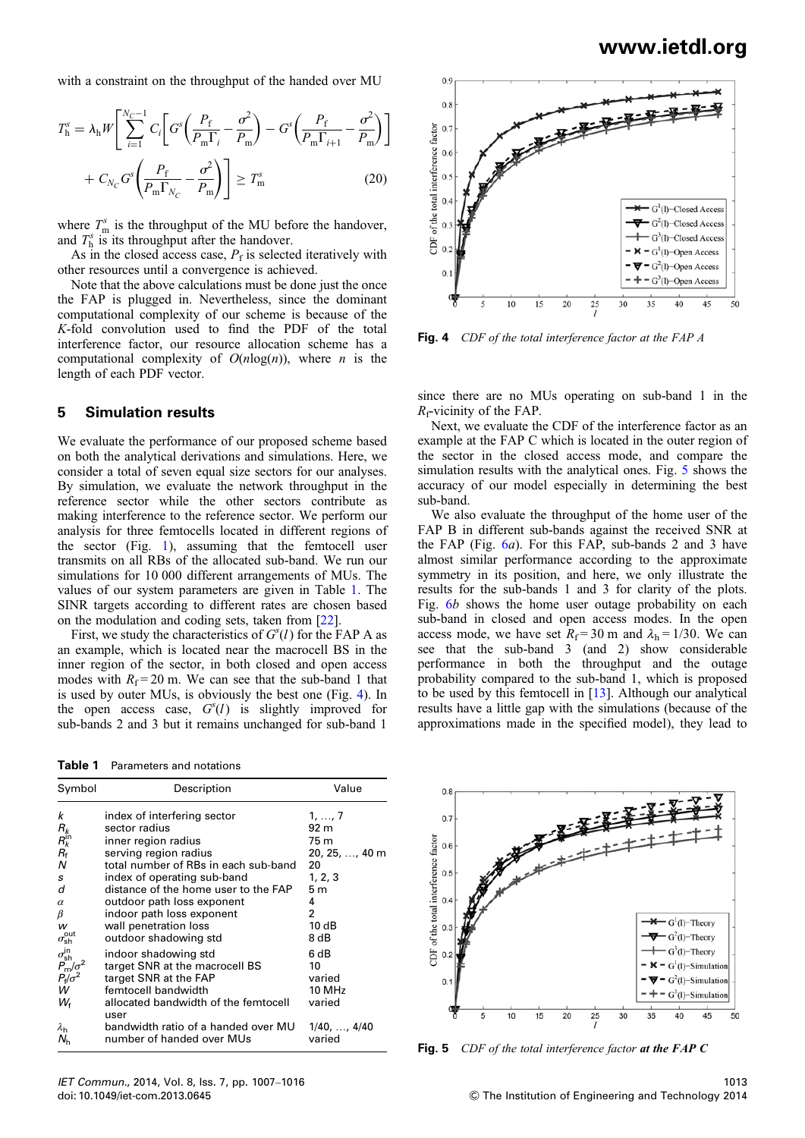with a constraint on the throughput of the handed over MU

$$
T_{\rm h}^s = \lambda_{\rm h} W \left[ \sum_{i=1}^{N_C - 1} C_i \left[ G^s \left( \frac{P_{\rm f}}{P_{\rm m} \Gamma_i} - \frac{\sigma^2}{P_{\rm m}} \right) - G^s \left( \frac{P_{\rm f}}{P_{\rm m} \Gamma_{i+1}} - \frac{\sigma^2}{P_{\rm m}} \right) \right] + C_{N_C} G^s \left( \frac{P_{\rm f}}{P_{\rm m} \Gamma_{N_C}} - \frac{\sigma^2}{P_{\rm m}} \right) \right] \ge T_{\rm m}^s \tag{20}
$$

where  $T_{\text{m}}^{s}$  is the throughput of the MU before the handover, and  $T_h^s$  is its throughput after the handover.

As in the closed access case,  $P_f$  is selected iteratively with other resources until a convergence is achieved.

Note that the above calculations must be done just the once the FAP is plugged in. Nevertheless, since the dominant computational complexity of our scheme is because of the K-fold convolution used to find the PDF of the total interference factor, our resource allocation scheme has a computational complexity of  $O(n \log(n))$ , where *n* is the length of each PDF vector.

### 5 Simulation results

We evaluate the performance of our proposed scheme based on both the analytical derivations and simulations. Here, we consider a total of seven equal size sectors for our analyses. By simulation, we evaluate the network throughput in the reference sector while the other sectors contribute as making interference to the reference sector. We perform our analysis for three femtocells located in different regions of the sector (Fig. 1), assuming that the femtocell user transmits on all RBs of the allocated sub-band. We run our simulations for 10 000 different arrangements of MUs. The values of our system parameters are given in Table 1. The SINR targets according to different rates are chosen based on the modulation and coding sets, taken from [22].

First, we study the characteristics of  $G<sup>s</sup>(l)$  for the FAP A as an example, which is located near the macrocell BS in the inner region of the sector, in both closed and open access modes with  $R_f = 20$  m. We can see that the sub-band 1 that is used by outer MUs, is obviously the best one (Fig. 4). In the open access case,  $G<sup>s</sup>(l)$  is slightly improved for sub-bands 2 and 3 but it remains unchanged for sub-band 1

Table 1 Parameters and notations

| Symbol                      | Description                                  | Value          |  |  |
|-----------------------------|----------------------------------------------|----------------|--|--|
| k                           | index of interfering sector                  | 1, , 7         |  |  |
| $R_k$                       | sector radius                                | 92 m           |  |  |
| $R_k^{\text{in}}$           | inner region radius                          | 75 m           |  |  |
| $R_{\rm f}$                 | serving region radius                        | 20, 25, , 40 m |  |  |
| N                           | total number of RBs in each sub-band         | 20             |  |  |
| s                           | index of operating sub-band                  | 1, 2, 3        |  |  |
| d                           | distance of the home user to the FAP         | 5 m            |  |  |
| $\alpha$                    | outdoor path loss exponent                   | 4              |  |  |
| β                           | indoor path loss exponent                    | 2              |  |  |
| w                           | wall penetration loss                        | 10 dB          |  |  |
| $\sigma_{\rm sh}^{\rm out}$ | outdoor shadowing std                        | 8 dB           |  |  |
| $\sigma_{\rm sh}^{\rm in}$  | indoor shadowing std                         | 6 dB           |  |  |
| $P_{\rm m}/\sigma^2$        | target SNR at the macrocell BS               | 10             |  |  |
| $P_f/\sigma^2$              | target SNR at the FAP                        | varied         |  |  |
| W                           | femtocell bandwidth                          | 10 MHz         |  |  |
| W <sub>f</sub>              | allocated bandwidth of the femtocell<br>user | varied         |  |  |
| λh                          | bandwidth ratio of a handed over MU          | 1/40, , 4/40   |  |  |
| $N_{h}$                     | number of handed over MUs                    | varied         |  |  |



Fig. 4 CDF of the total interference factor at the FAP A

since there are no MUs operating on sub-band 1 in the  $R_f$ -vicinity of the FAP.

Next, we evaluate the CDF of the interference factor as an example at the FAP C which is located in the outer region of the sector in the closed access mode, and compare the simulation results with the analytical ones. Fig. 5 shows the accuracy of our model especially in determining the best sub-band.

We also evaluate the throughput of the home user of the FAP B in different sub-bands against the received SNR at the FAP (Fig.  $6a$ ). For this FAP, sub-bands 2 and 3 have almost similar performance according to the approximate symmetry in its position, and here, we only illustrate the results for the sub-bands 1 and 3 for clarity of the plots. Fig. 6b shows the home user outage probability on each sub-band in closed and open access modes. In the open access mode, we have set  $R_f = 30$  m and  $\lambda_h = 1/30$ . We can see that the sub-band 3 (and 2) show considerable performance in both the throughput and the outage probability compared to the sub-band 1, which is proposed to be used by this femtocell in [13]. Although our analytical results have a little gap with the simulations (because of the approximations made in the specified model), they lead to



Fig. 5  $CDF of the total interference factor at the FAP  $C$$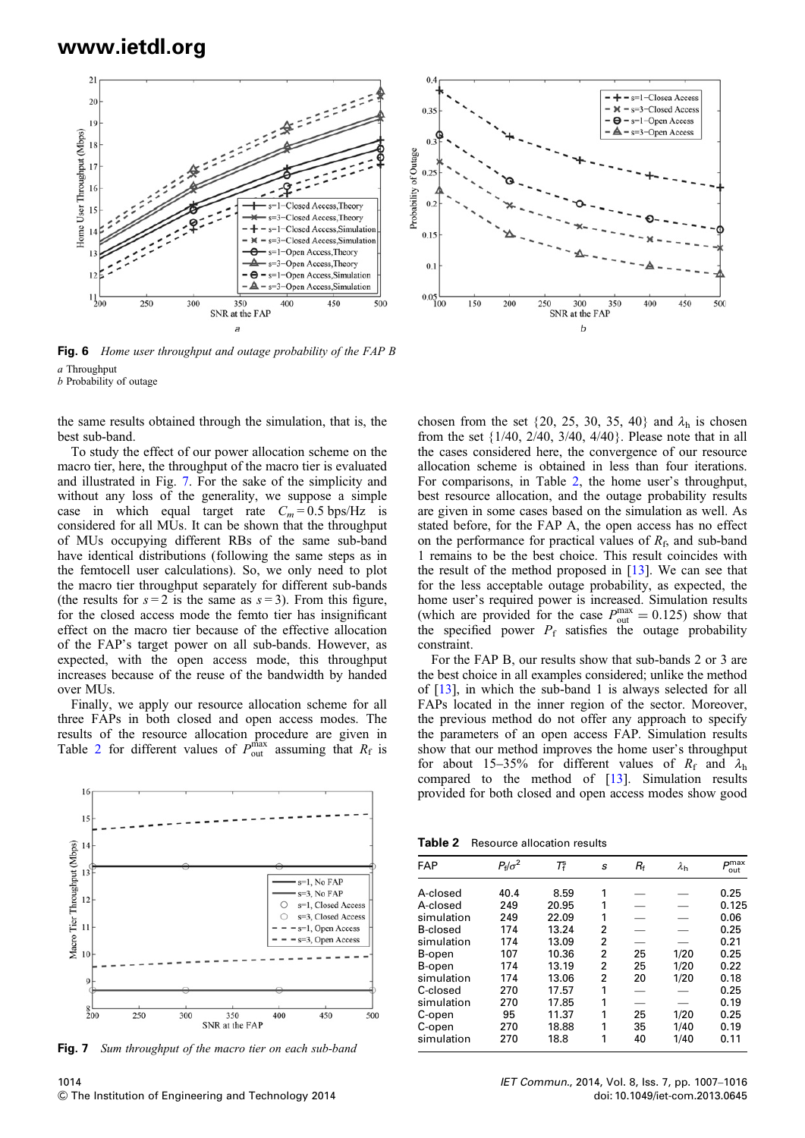

Fig. 6 Home user throughput and outage probability of the FAP B a Throughput

b Probability of outage

the same results obtained through the simulation, that is, the best sub-band.

To study the effect of our power allocation scheme on the macro tier, here, the throughput of the macro tier is evaluated and illustrated in Fig. 7. For the sake of the simplicity and without any loss of the generality, we suppose a simple case in which equal target rate  $C_m = 0.5$  bps/Hz is considered for all MUs. It can be shown that the throughput of MUs occupying different RBs of the same sub-band have identical distributions (following the same steps as in the femtocell user calculations). So, we only need to plot the macro tier throughput separately for different sub-bands (the results for  $s = 2$  is the same as  $s = 3$ ). From this figure, for the closed access mode the femto tier has insignificant effect on the macro tier because of the effective allocation of the FAP's target power on all sub-bands. However, as expected, with the open access mode, this throughput increases because of the reuse of the bandwidth by handed over MUs.

Finally, we apply our resource allocation scheme for all three FAPs in both closed and open access modes. The results of the resource allocation procedure are given in Table 2 for different values of  $P_{\text{out}}^{\text{max}}$  assuming that  $R_{\text{f}}$  is



**Fig. 7** Sum throughput of the macro tier on each sub-band



chosen from the set  $\{20, 25, 30, 35, 40\}$  and  $\lambda_h$  is chosen from the set  $\{1/40, 2/40, 3/40, 4/40\}$ . Please note that in all the cases considered here, the convergence of our resource allocation scheme is obtained in less than four iterations. For comparisons, in Table 2, the home user's throughput, best resource allocation, and the outage probability results are given in some cases based on the simulation as well. As stated before, for the FAP A, the open access has no effect on the performance for practical values of  $R<sub>f</sub>$ , and sub-band 1 remains to be the best choice. This result coincides with the result of the method proposed in  $[13]$ . We can see that for the less acceptable outage probability, as expected, the home user's required power is increased. Simulation results (which are provided for the case  $P_{\text{out}}^{\text{max}} = 0.125$ ) show that the specified power  $P_f$  satisfies the outage probability constraint.

For the FAP B, our results show that sub-bands 2 or 3 are the best choice in all examples considered; unlike the method of [13], in which the sub-band 1 is always selected for all FAPs located in the inner region of the sector. Moreover, the previous method do not offer any approach to specify the parameters of an open access FAP. Simulation results show that our method improves the home user's throughput for about 15–35% for different values of  $R_f$  and  $\lambda_h$ compared to the method of [13]. Simulation results provided for both closed and open access modes show good

Table 2 Resource allocation results

| <b>FAP</b> | $P_{\rm f}/\sigma^2$ | Tŕ    | S | $R_{\rm f}$ | $\lambda_{h}$ | maxה<br>out |  |  |  |
|------------|----------------------|-------|---|-------------|---------------|-------------|--|--|--|
| A-closed   | 40.4                 | 8.59  | 1 |             |               | 0.25        |  |  |  |
| A-closed   | 249                  | 20.95 | 1 |             |               | 0.125       |  |  |  |
| simulation | 249                  | 22.09 | 1 |             | -             | 0.06        |  |  |  |
| B-closed   | 174                  | 13.24 | 2 |             |               | 0.25        |  |  |  |
| simulation | 174                  | 13.09 | 2 |             |               | 0.21        |  |  |  |
| B-open     | 107                  | 10.36 | 2 | 25          | 1/20          | 0.25        |  |  |  |
| B-open     | 174                  | 13.19 | 2 | 25          | 1/20          | 0.22        |  |  |  |
| simulation | 174                  | 13.06 | 2 | 20          | 1/20          | 0.18        |  |  |  |
| C-closed   | 270                  | 17.57 | 1 |             |               | 0.25        |  |  |  |
| simulation | 270                  | 17.85 | 1 |             |               | 0.19        |  |  |  |
| C-open     | 95                   | 11.37 | 1 | 25          | 1/20          | 0.25        |  |  |  |
| C-open     | 270                  | 18.88 | 1 | 35          | 1/40          | 0.19        |  |  |  |
| simulation | 270                  | 18.8  | 1 | 40          | 1/40          | 0.11        |  |  |  |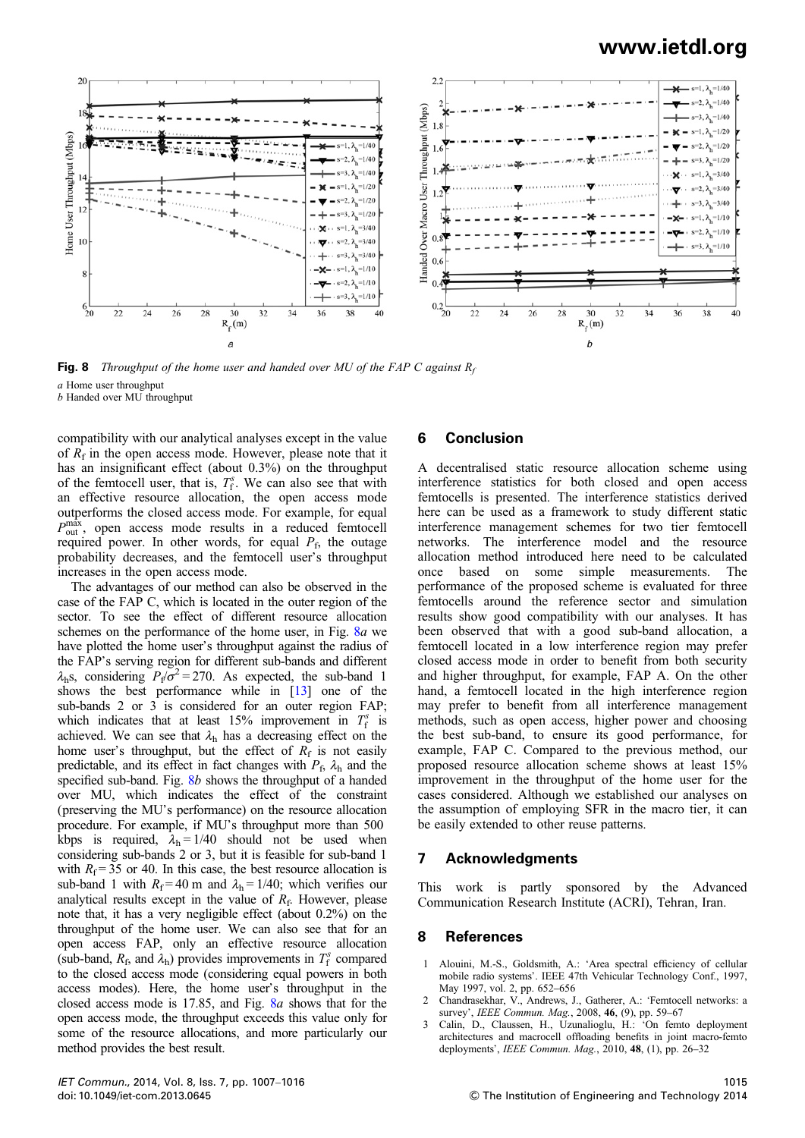

**Fig. 8** Throughput of the home user and handed over MU of the FAP C against  $R_f$  $a$  Home user throughput b Handed over MU throughput

compatibility with our analytical analyses except in the value of  $R_f$  in the open access mode. However, please note that it has an insignificant effect (about 0.3%) on the throughput of the femtocell user, that is,  $T_f^s$ . We can also see that with an effective resource allocation, the open access mode outperforms the closed access mode. For example, for equal  $P_{\text{out}}^{\text{max}}$ , open access mode results in a reduced femtocell required power. In other words, for equal  $P_f$ , the outage probability decreases, and the femtocell user's throughput increases in the open access mode.

The advantages of our method can also be observed in the case of the FAP C, which is located in the outer region of the sector. To see the effect of different resource allocation schemes on the performance of the home user, in Fig. 8a we have plotted the home user's throughput against the radius of the FAP's serving region for different sub-bands and different  $\lambda_{h}$ s, considering  $P_f/\sigma^2 = 270$ . As expected, the sub-band 1 shows the best performance while in [13] one of the sub-bands 2 or 3 is considered for an outer region FAP; which indicates that at least 15% improvement in  $T_f^s$  is achieved. We can see that  $\lambda_h$  has a decreasing effect on the home user's throughput, but the effect of  $R_f$  is not easily predictable, and its effect in fact changes with  $P_f$ ,  $\lambda_h$  and the specified sub-band. Fig. 8b shows the throughput of a handed over MU, which indicates the effect of the constraint (preserving the MU's performance) on the resource allocation procedure. For example, if MU's throughput more than 500 kbps is required,  $\lambda_h = 1/40$  should not be used when considering sub-bands 2 or 3, but it is feasible for sub-band 1 with  $R_f = 35$  or 40. In this case, the best resource allocation is sub-band 1 with  $R_f = 40$  m and  $\lambda_h = 1/40$ ; which verifies our analytical results except in the value of  $R_f$ . However, please note that, it has a very negligible effect (about 0.2%) on the throughput of the home user. We can also see that for an open access FAP, only an effective resource allocation (sub-band,  $R_f$ , and  $\lambda_h$ ) provides improvements in  $T_f^s$  compared to the closed access mode (considering equal powers in both access modes). Here, the home user's throughput in the closed access mode is 17.85, and Fig. 8a shows that for the open access mode, the throughput exceeds this value only for some of the resource allocations, and more particularly our method provides the best result.

## 6 Conclusion

A decentralised static resource allocation scheme using interference statistics for both closed and open access femtocells is presented. The interference statistics derived here can be used as a framework to study different static interference management schemes for two tier femtocell networks. The interference model and the resource allocation method introduced here need to be calculated once based on some simple measurements. The performance of the proposed scheme is evaluated for three femtocells around the reference sector and simulation results show good compatibility with our analyses. It has been observed that with a good sub-band allocation, a femtocell located in a low interference region may prefer closed access mode in order to benefit from both security and higher throughput, for example, FAP A. On the other hand, a femtocell located in the high interference region may prefer to benefit from all interference management methods, such as open access, higher power and choosing the best sub-band, to ensure its good performance, for example, FAP C. Compared to the previous method, our proposed resource allocation scheme shows at least 15% improvement in the throughput of the home user for the cases considered. Although we established our analyses on the assumption of employing SFR in the macro tier, it can be easily extended to other reuse patterns.

### 7 Acknowledgments

This work is partly sponsored by the Advanced Communication Research Institute (ACRI), Tehran, Iran.

### 8 References

- 1 Alouini, M.-S., Goldsmith, A.: 'Area spectral efficiency of cellular mobile radio systems'. IEEE 47th Vehicular Technology Conf., 1997, May 1997, vol. 2, pp. 652–656
- 2 Chandrasekhar, V., Andrews, J., Gatherer, A.: 'Femtocell networks: a survey', IEEE Commun. Mag., 2008, 46, (9), pp. 59–67
- 3 Calin, D., Claussen, H., Uzunalioglu, H.: 'On femto deployment architectures and macrocell offloading benefits in joint macro-femto deployments', IEEE Commun. Mag., 2010, 48, (1), pp. 26–32